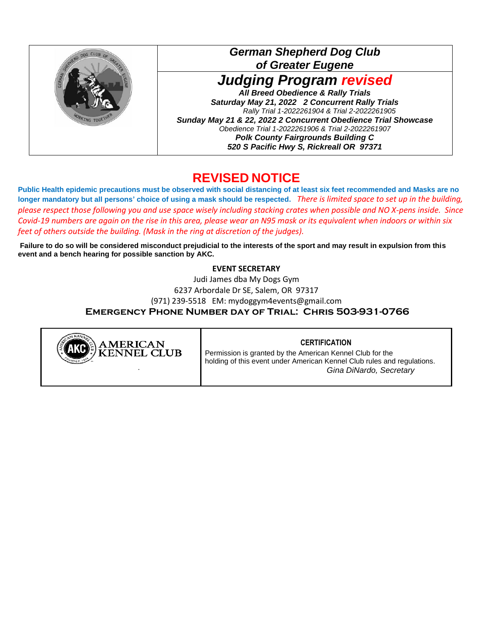

## **REVISED NOTICE**

**Public Health epidemic precautions must be observed with social distancing of at least six feet recommended and Masks are no longer mandatory but all persons' choice of using a mask should be respected.** *There is limited space to set up in the building, please respect those following you and use space wisely including stacking crates when possible and NO X-pens inside. Since Covid-19 numbers are again on the rise in this area, please wear an N95 mask or its equivalent when indoors or within six feet of others outside the building. (Mask in the ring at discretion of the judges).* 

**Failure to do so will be considered misconduct prejudicial to the interests of the sport and may result in expulsion from this event and a bench hearing for possible sanction by AKC.** 

## **EVENT SECRETARY**

Judi James dba My Dogs Gym 6237 Arbordale Dr SE, Salem, OR 97317 (971) 239-5518 EM: mydoggym4events@gmail.com **Emergency Phone Number day of Trial: Chris 503-931-0766**



## **CERTIFICATION**

Permission is granted by the American Kennel Club for the holding of this event under American Kennel Club rules and regulations. *Gina DiNardo, Secretary*